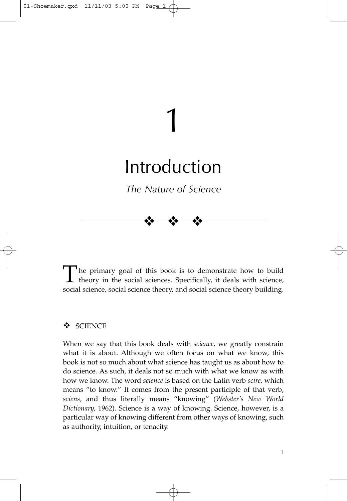# Introduction

1

*The Nature of Science*

❖ ❖ ❖

The primary goal of this book is to demonstrate how to build  $\mathsf{L}\,$  theory in the social sciences. Specifically, it deals with science, social science, social science theory, and social science theory building.

# ❖ SCIENCE

When we say that this book deals with *science,* we greatly constrain what it is about. Although we often focus on what we know, this book is not so much about what science has taught us as about how to do science. As such, it deals not so much with what we know as with how we know. The word *science* is based on the Latin verb *scire,* which means "to know." It comes from the present participle of that verb, *sciens,* and thus literally means "knowing" (*Webster's New World Dictionary,* 1962). Science is a way of knowing. Science, however, is a particular way of knowing different from other ways of knowing, such as authority, intuition, or tenacity.

1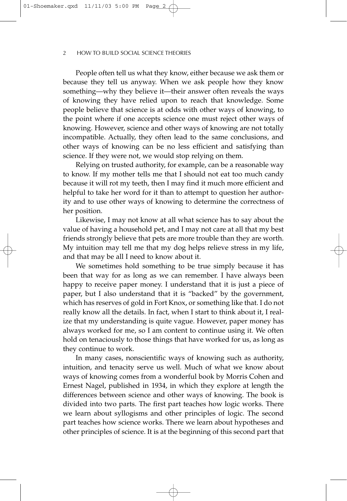People often tell us what they know, either because we ask them or because they tell us anyway. When we ask people how they know something—why they believe it—their answer often reveals the ways of knowing they have relied upon to reach that knowledge. Some people believe that science is at odds with other ways of knowing, to the point where if one accepts science one must reject other ways of knowing. However, science and other ways of knowing are not totally incompatible. Actually, they often lead to the same conclusions, and other ways of knowing can be no less efficient and satisfying than science. If they were not, we would stop relying on them.

Relying on trusted authority, for example, can be a reasonable way to know. If my mother tells me that I should not eat too much candy because it will rot my teeth, then I may find it much more efficient and helpful to take her word for it than to attempt to question her authority and to use other ways of knowing to determine the correctness of her position.

Likewise, I may not know at all what science has to say about the value of having a household pet, and I may not care at all that my best friends strongly believe that pets are more trouble than they are worth. My intuition may tell me that my dog helps relieve stress in my life, and that may be all I need to know about it.

We sometimes hold something to be true simply because it has been that way for as long as we can remember. I have always been happy to receive paper money. I understand that it is just a piece of paper, but I also understand that it is "backed" by the government, which has reserves of gold in Fort Knox, or something like that. I do not really know all the details. In fact, when I start to think about it, I realize that my understanding is quite vague. However, paper money has always worked for me, so I am content to continue using it. We often hold on tenaciously to those things that have worked for us, as long as they continue to work.

In many cases, nonscientific ways of knowing such as authority, intuition, and tenacity serve us well. Much of what we know about ways of knowing comes from a wonderful book by Morris Cohen and Ernest Nagel, published in 1934, in which they explore at length the differences between science and other ways of knowing. The book is divided into two parts. The first part teaches how logic works. There we learn about syllogisms and other principles of logic. The second part teaches how science works. There we learn about hypotheses and other principles of science. It is at the beginning of this second part that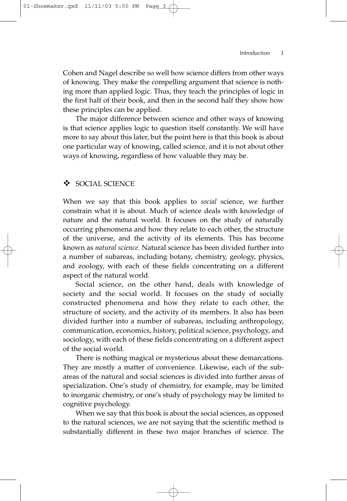Cohen and Nagel describe so well how science differs from other ways of knowing. They make the compelling argument that science is nothing more than applied logic. Thus, they teach the principles of logic in the first half of their book, and then in the second half they show how these principles can be applied.

The major difference between science and other ways of knowing is that science applies logic to question itself constantly. We will have more to say about this later, but the point here is that this book is about one particular way of knowing, called science, and it is not about other ways of knowing, regardless of how valuable they may be.

## SOCIAL SCIENCE

When we say that this book applies to *social* science, we further constrain what it is about. Much of science deals with knowledge of nature and the natural world. It focuses on the study of naturally occurring phenomena and how they relate to each other, the structure of the universe, and the activity of its elements. This has become known as *natural science.* Natural science has been divided further into a number of subareas, including botany, chemistry, geology, physics, and zoology, with each of these fields concentrating on a different aspect of the natural world.

Social science, on the other hand, deals with knowledge of society and the social world. It focuses on the study of socially constructed phenomena and how they relate to each other, the structure of society, and the activity of its members. It also has been divided further into a number of subareas, including anthropology, communication, economics, history, political science, psychology, and sociology, with each of these fields concentrating on a different aspect of the social world.

There is nothing magical or mysterious about these demarcations. They are mostly a matter of convenience. Likewise, each of the subareas of the natural and social sciences is divided into further areas of specialization. One's study of chemistry, for example, may be limited to inorganic chemistry, or one's study of psychology may be limited to cognitive psychology.

When we say that this book is about the social sciences, as opposed to the natural sciences, we are not saying that the scientific method is substantially different in these two major branches of science. The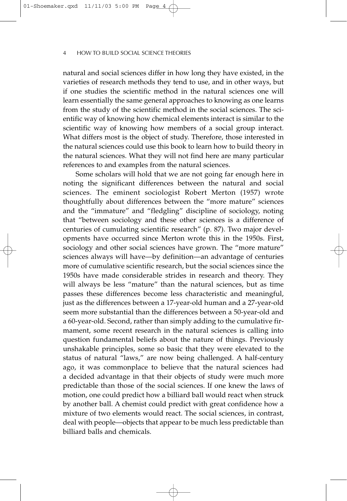natural and social sciences differ in how long they have existed, in the varieties of research methods they tend to use, and in other ways, but if one studies the scientific method in the natural sciences one will learn essentially the same general approaches to knowing as one learns from the study of the scientific method in the social sciences. The scientific way of knowing how chemical elements interact is similar to the scientific way of knowing how members of a social group interact. What differs most is the object of study. Therefore, those interested in the natural sciences could use this book to learn how to build theory in the natural sciences. What they will not find here are many particular references to and examples from the natural sciences.

Some scholars will hold that we are not going far enough here in noting the significant differences between the natural and social sciences. The eminent sociologist Robert Merton (1957) wrote thoughtfully about differences between the "more mature" sciences and the "immature" and "fledgling" discipline of sociology, noting that "between sociology and these other sciences is a difference of centuries of cumulating scientific research" (p. 87). Two major developments have occurred since Merton wrote this in the 1950s. First, sociology and other social sciences have grown. The "more mature" sciences always will have—by definition—an advantage of centuries more of cumulative scientific research, but the social sciences since the 1950s have made considerable strides in research and theory. They will always be less "mature" than the natural sciences, but as time passes these differences become less characteristic and meaningful, just as the differences between a 17-year-old human and a 27-year-old seem more substantial than the differences between a 50-year-old and a 60-year-old. Second, rather than simply adding to the cumulative firmament, some recent research in the natural sciences is calling into question fundamental beliefs about the nature of things. Previously unshakable principles, some so basic that they were elevated to the status of natural "laws," are now being challenged. A half-century ago, it was commonplace to believe that the natural sciences had a decided advantage in that their objects of study were much more predictable than those of the social sciences. If one knew the laws of motion, one could predict how a billiard ball would react when struck by another ball. A chemist could predict with great confidence how a mixture of two elements would react. The social sciences, in contrast, deal with people—objects that appear to be much less predictable than billiard balls and chemicals.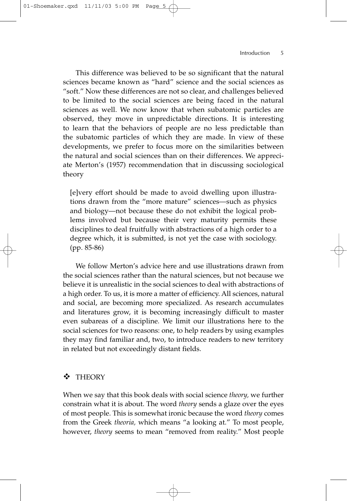This difference was believed to be so significant that the natural sciences became known as "hard" science and the social sciences as "soft." Now these differences are not so clear, and challenges believed to be limited to the social sciences are being faced in the natural sciences as well. We now know that when subatomic particles are observed, they move in unpredictable directions. It is interesting to learn that the behaviors of people are no less predictable than the subatomic particles of which they are made. In view of these developments, we prefer to focus more on the similarities between the natural and social sciences than on their differences. We appreciate Merton's (1957) recommendation that in discussing sociological theory

[e]very effort should be made to avoid dwelling upon illustrations drawn from the "more mature" sciences—such as physics and biology—not because these do not exhibit the logical problems involved but because their very maturity permits these disciplines to deal fruitfully with abstractions of a high order to a degree which, it is submitted, is not yet the case with sociology. (pp. 85-86)

We follow Merton's advice here and use illustrations drawn from the social sciences rather than the natural sciences, but not because we believe it is unrealistic in the social sciences to deal with abstractions of a high order. To us, it is more a matter of efficiency. All sciences, natural and social, are becoming more specialized. As research accumulates and literatures grow, it is becoming increasingly difficult to master even subareas of a discipline. We limit our illustrations here to the social sciences for two reasons: one, to help readers by using examples they may find familiar and, two, to introduce readers to new territory in related but not exceedingly distant fields.

# THEORY

When we say that this book deals with social science *theory,* we further constrain what it is about. The word *theory* sends a glaze over the eyes of most people. This is somewhat ironic because the word *theory* comes from the Greek *theoria,* which means "a looking at." To most people, however, *theory* seems to mean "removed from reality." Most people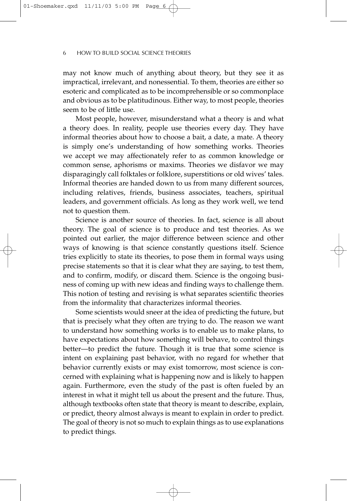may not know much of anything about theory, but they see it as impractical, irrelevant, and nonessential. To them, theories are either so esoteric and complicated as to be incomprehensible or so commonplace and obvious as to be platitudinous. Either way, to most people, theories seem to be of little use.

Most people, however, misunderstand what a theory is and what a theory does. In reality, people use theories every day. They have informal theories about how to choose a bait, a date, a mate. A theory is simply one's understanding of how something works. Theories we accept we may affectionately refer to as common knowledge or common sense, aphorisms or maxims. Theories we disfavor we may disparagingly call folktales or folklore, superstitions or old wives' tales. Informal theories are handed down to us from many different sources, including relatives, friends, business associates, teachers, spiritual leaders, and government officials. As long as they work well, we tend not to question them.

Science is another source of theories. In fact, science is all about theory. The goal of science is to produce and test theories. As we pointed out earlier, the major difference between science and other ways of knowing is that science constantly questions itself. Science tries explicitly to state its theories, to pose them in formal ways using precise statements so that it is clear what they are saying, to test them, and to confirm, modify, or discard them. Science is the ongoing business of coming up with new ideas and finding ways to challenge them. This notion of testing and revising is what separates scientific theories from the informality that characterizes informal theories.

Some scientists would sneer at the idea of predicting the future, but that is precisely what they often are trying to do. The reason we want to understand how something works is to enable us to make plans, to have expectations about how something will behave, to control things better—to predict the future. Though it is true that some science is intent on explaining past behavior, with no regard for whether that behavior currently exists or may exist tomorrow, most science is concerned with explaining what is happening now and is likely to happen again. Furthermore, even the study of the past is often fueled by an interest in what it might tell us about the present and the future. Thus, although textbooks often state that theory is meant to describe, explain, or predict, theory almost always is meant to explain in order to predict. The goal of theory is not so much to explain things as to use explanations to predict things.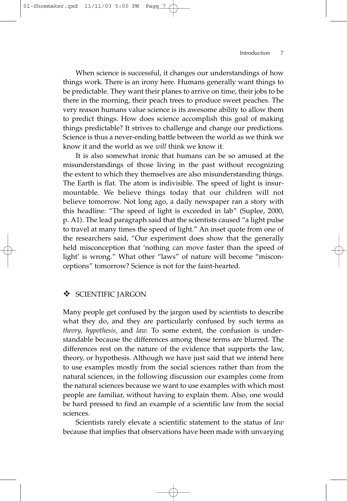#### Introduction——7

When science is successful, it changes our understandings of how things work. There is an irony here. Humans generally want things to be predictable. They want their planes to arrive on time, their jobs to be there in the morning, their peach trees to produce sweet peaches. The very reason humans value science is its awesome ability to allow them to predict things. How does science accomplish this goal of making things predictable? It strives to challenge and change our predictions. Science is thus a never-ending battle between the world as we think we know it and the world as we *will* think we know it.

It is also somewhat ironic that humans can be so amused at the misunderstandings of those living in the past without recognizing the extent to which they themselves are also misunderstanding things. The Earth is flat. The atom is indivisible. The speed of light is insurmountable. We believe things today that our children will not believe tomorrow. Not long ago, a daily newspaper ran a story with this headline: "The speed of light is exceeded in lab" (Suplee, 2000, p. A1). The lead paragraph said that the scientists caused "a light pulse to travel at many times the speed of light." An inset quote from one of the researchers said, "Our experiment does show that the generally held misconception that 'nothing can move faster than the speed of light' is wrong." What other "laws" of nature will become "misconceptions" tomorrow? Science is not for the faint-hearted.

## SCIENTIFIC JARGON

Many people get confused by the jargon used by scientists to describe what they do, and they are particularly confused by such terms as *theory, hypothesis,* and *law.* To some extent, the confusion is understandable because the differences among these terms are blurred. The differences rest on the nature of the evidence that supports the law, theory, or hypothesis. Although we have just said that we intend here to use examples mostly from the social sciences rather than from the natural sciences, in the following discussion our examples come from the natural sciences because we want to use examples with which most people are familiar, without having to explain them. Also, one would be hard pressed to find an example of a scientific law from the social sciences.

Scientists rarely elevate a scientific statement to the status of *law* because that implies that observations have been made with unvarying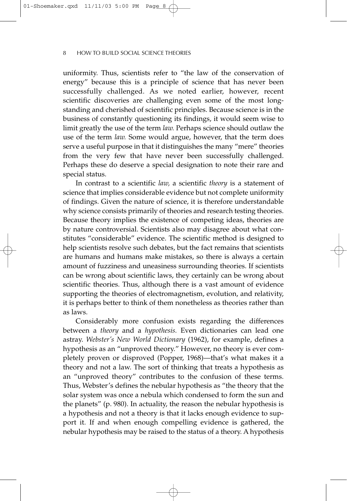uniformity. Thus, scientists refer to "the law of the conservation of energy" because this is a principle of science that has never been successfully challenged. As we noted earlier, however, recent scientific discoveries are challenging even some of the most longstanding and cherished of scientific principles. Because science is in the business of constantly questioning its findings, it would seem wise to limit greatly the use of the term *law.* Perhaps science should outlaw the use of the term *law.* Some would argue, however, that the term does serve a useful purpose in that it distinguishes the many "mere" theories from the very few that have never been successfully challenged. Perhaps these do deserve a special designation to note their rare and special status.

In contrast to a scientific *law,* a scientific *theory* is a statement of science that implies considerable evidence but not complete uniformity of findings. Given the nature of science, it is therefore understandable why science consists primarily of theories and research testing theories. Because theory implies the existence of competing ideas, theories are by nature controversial. Scientists also may disagree about what constitutes "considerable" evidence. The scientific method is designed to help scientists resolve such debates, but the fact remains that scientists are humans and humans make mistakes, so there is always a certain amount of fuzziness and uneasiness surrounding theories. If scientists can be wrong about scientific laws, they certainly can be wrong about scientific theories. Thus, although there is a vast amount of evidence supporting the theories of electromagnetism, evolution, and relativity, it is perhaps better to think of them nonetheless as theories rather than as laws.

Considerably more confusion exists regarding the differences between a *theory* and a *hypothesis.* Even dictionaries can lead one astray. *Webster's New World Dictionary* (1962), for example, defines a hypothesis as an "unproved theory." However, no theory is ever completely proven or disproved (Popper, 1968)—that's what makes it a theory and not a law. The sort of thinking that treats a hypothesis as an "unproved theory" contributes to the confusion of these terms. Thus, Webster's defines the nebular hypothesis as "the theory that the solar system was once a nebula which condensed to form the sun and the planets" (p. 980). In actuality, the reason the nebular hypothesis is a hypothesis and not a theory is that it lacks enough evidence to support it. If and when enough compelling evidence is gathered, the nebular hypothesis may be raised to the status of a theory. A hypothesis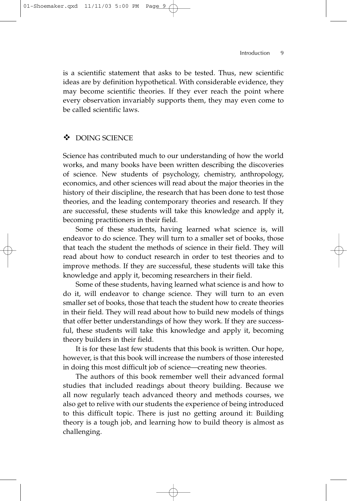is a scientific statement that asks to be tested. Thus, new scientific ideas are by definition hypothetical. With considerable evidence, they may become scientific theories. If they ever reach the point where every observation invariably supports them, they may even come to be called scientific laws.

# DOING SCIENCE

Science has contributed much to our understanding of how the world works, and many books have been written describing the discoveries of science. New students of psychology, chemistry, anthropology, economics, and other sciences will read about the major theories in the history of their discipline, the research that has been done to test those theories, and the leading contemporary theories and research. If they are successful, these students will take this knowledge and apply it, becoming practitioners in their field.

Some of these students, having learned what science is, will endeavor to do science. They will turn to a smaller set of books, those that teach the student the methods of science in their field. They will read about how to conduct research in order to test theories and to improve methods. If they are successful, these students will take this knowledge and apply it, becoming researchers in their field.

Some of these students, having learned what science is and how to do it, will endeavor to change science. They will turn to an even smaller set of books, those that teach the student how to create theories in their field. They will read about how to build new models of things that offer better understandings of how they work. If they are successful, these students will take this knowledge and apply it, becoming theory builders in their field.

It is for these last few students that this book is written. Our hope, however, is that this book will increase the numbers of those interested in doing this most difficult job of science—creating new theories.

The authors of this book remember well their advanced formal studies that included readings about theory building. Because we all now regularly teach advanced theory and methods courses, we also get to relive with our students the experience of being introduced to this difficult topic. There is just no getting around it: Building theory is a tough job, and learning how to build theory is almost as challenging.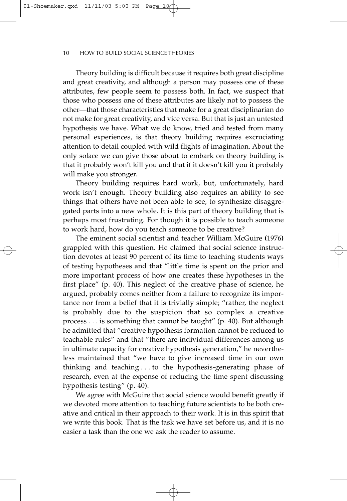Theory building is difficult because it requires both great discipline and great creativity, and although a person may possess one of these attributes, few people seem to possess both. In fact, we suspect that those who possess one of these attributes are likely not to possess the other—that those characteristics that make for a great disciplinarian do not make for great creativity, and vice versa. But that is just an untested hypothesis we have. What we do know, tried and tested from many personal experiences, is that theory building requires excruciating attention to detail coupled with wild flights of imagination. About the only solace we can give those about to embark on theory building is that it probably won't kill you and that if it doesn't kill you it probably will make you stronger.

Theory building requires hard work, but, unfortunately, hard work isn't enough. Theory building also requires an ability to see things that others have not been able to see, to synthesize disaggregated parts into a new whole. It is this part of theory building that is perhaps most frustrating. For though it is possible to teach someone to work hard, how do you teach someone to be creative?

The eminent social scientist and teacher William McGuire **(**1976**)** grappled with this question. He claimed that social science instruction devotes at least 90 percent of its time to teaching students ways of testing hypotheses and that "little time is spent on the prior and more important process of how one creates these hypotheses in the first place" (p. 40). This neglect of the creative phase of science, he argued, probably comes neither from a failure to recognize its importance nor from a belief that it is trivially simple; "rather, the neglect is probably due to the suspicion that so complex a creative process . . . is something that cannot be taught" (p. 40). But although he admitted that "creative hypothesis formation cannot be reduced to teachable rules" and that "there are individual differences among us in ultimate capacity for creative hypothesis generation," he nevertheless maintained that "we have to give increased time in our own thinking and teaching . . . to the hypothesis-generating phase of research, even at the expense of reducing the time spent discussing hypothesis testing" (p. 40).

We agree with McGuire that social science would benefit greatly if we devoted more attention to teaching future scientists to be both creative and critical in their approach to their work. It is in this spirit that we write this book. That is the task we have set before us, and it is no easier a task than the one we ask the reader to assume.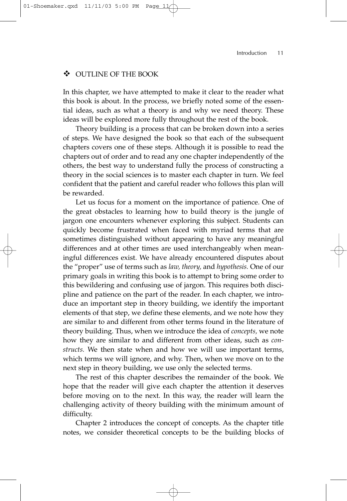# ❖ OUTLINE OF THE BOOK

In this chapter, we have attempted to make it clear to the reader what this book is about. In the process, we briefly noted some of the essential ideas, such as what a theory is and why we need theory. These ideas will be explored more fully throughout the rest of the book.

Theory building is a process that can be broken down into a series of steps. We have designed the book so that each of the subsequent chapters covers one of these steps. Although it is possible to read the chapters out of order and to read any one chapter independently of the others, the best way to understand fully the process of constructing a theory in the social sciences is to master each chapter in turn. We feel confident that the patient and careful reader who follows this plan will be rewarded.

Let us focus for a moment on the importance of patience. One of the great obstacles to learning how to build theory is the jungle of jargon one encounters whenever exploring this subject. Students can quickly become frustrated when faced with myriad terms that are sometimes distinguished without appearing to have any meaningful differences and at other times are used interchangeably when meaningful differences exist. We have already encountered disputes about the "proper" use of terms such as *law, theory,* and *hypothesis.* One of our primary goals in writing this book is to attempt to bring some order to this bewildering and confusing use of jargon. This requires both discipline and patience on the part of the reader. In each chapter, we introduce an important step in theory building, we identify the important elements of that step, we define these elements, and we note how they are similar to and different from other terms found in the literature of theory building. Thus, when we introduce the idea of *concepts,* we note how they are similar to and different from other ideas, such as *constructs.* We then state when and how we will use important terms, which terms we will ignore, and why. Then, when we move on to the next step in theory building, we use only the selected terms.

The rest of this chapter describes the remainder of the book. We hope that the reader will give each chapter the attention it deserves before moving on to the next. In this way, the reader will learn the challenging activity of theory building with the minimum amount of difficulty.

Chapter 2 introduces the concept of concepts. As the chapter title notes, we consider theoretical concepts to be the building blocks of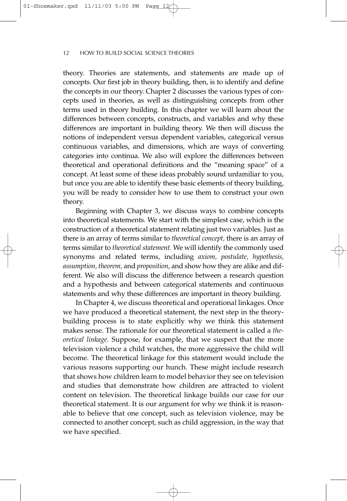theory. Theories are statements, and statements are made up of concepts. Our first job in theory building, then, is to identify and define the concepts in our theory. Chapter 2 discusses the various types of concepts used in theories, as well as distinguishing concepts from other terms used in theory building. In this chapter we will learn about the differences between concepts, constructs, and variables and why these differences are important in building theory. We then will discuss the notions of independent versus dependent variables, categorical versus continuous variables, and dimensions, which are ways of converting categories into continua. We also will explore the differences between theoretical and operational definitions and the "meaning space" of a concept. At least some of these ideas probably sound unfamiliar to you, but once you are able to identify these basic elements of theory building, you will be ready to consider how to use them to construct your own theory.

Beginning with Chapter 3, we discuss ways to combine concepts into theoretical statements. We start with the simplest case, which is the construction of a theoretical statement relating just two variables. Just as there is an array of terms similar to *theoretical concept,* there is an array of terms similar to *theoretical statement.* We will identify the commonly used synonyms and related terms, including *axiom, postulate, hypothesis, assumption, theorem,* and *proposition,* and show how they are alike and different. We also will discuss the difference between a research question and a hypothesis and between categorical statements and continuous statements and why these differences are important in theory building.

In Chapter 4, we discuss theoretical and operational linkages. Once we have produced a theoretical statement, the next step in the theorybuilding process is to state explicitly why we think this statement makes sense. The rationale for our theoretical statement is called a *theoretical linkage.* Suppose, for example, that we suspect that the more television violence a child watches, the more aggressive the child will become. The theoretical linkage for this statement would include the various reasons supporting our hunch. These might include research that shows how children learn to model behavior they see on television and studies that demonstrate how children are attracted to violent content on television. The theoretical linkage builds our case for our theoretical statement. It is our argument for why we think it is reasonable to believe that one concept, such as television violence, may be connected to another concept, such as child aggression, in the way that we have specified.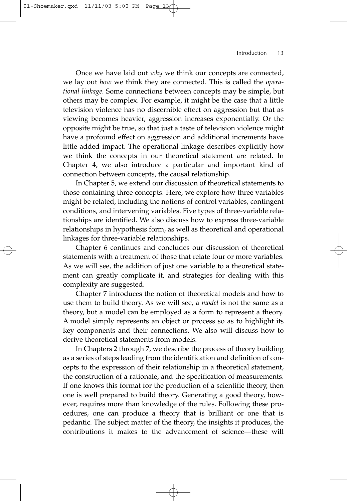Once we have laid out *why* we think our concepts are connected, we lay out *how* we think they are connected. This is called the *operational linkage.* Some connections between concepts may be simple, but others may be complex. For example, it might be the case that a little television violence has no discernible effect on aggression but that as viewing becomes heavier, aggression increases exponentially. Or the opposite might be true, so that just a taste of television violence might have a profound effect on aggression and additional increments have little added impact. The operational linkage describes explicitly how we think the concepts in our theoretical statement are related. In Chapter 4, we also introduce a particular and important kind of connection between concepts, the causal relationship.

In Chapter 5, we extend our discussion of theoretical statements to those containing three concepts. Here, we explore how three variables might be related, including the notions of control variables, contingent conditions, and intervening variables. Five types of three-variable relationships are identified. We also discuss how to express three-variable relationships in hypothesis form, as well as theoretical and operational linkages for three-variable relationships.

Chapter 6 continues and concludes our discussion of theoretical statements with a treatment of those that relate four or more variables. As we will see, the addition of just one variable to a theoretical statement can greatly complicate it, and strategies for dealing with this complexity are suggested.

Chapter 7 introduces the notion of theoretical models and how to use them to build theory. As we will see, a *model* is not the same as a theory, but a model can be employed as a form to represent a theory. A model simply represents an object or process so as to highlight its key components and their connections. We also will discuss how to derive theoretical statements from models.

In Chapters 2 through 7, we describe the process of theory building as a series of steps leading from the identification and definition of concepts to the expression of their relationship in a theoretical statement, the construction of a rationale, and the specification of measurements. If one knows this format for the production of a scientific theory, then one is well prepared to build theory. Generating a good theory, however, requires more than knowledge of the rules. Following these procedures, one can produce a theory that is brilliant or one that is pedantic. The subject matter of the theory, the insights it produces, the contributions it makes to the advancement of science—these will